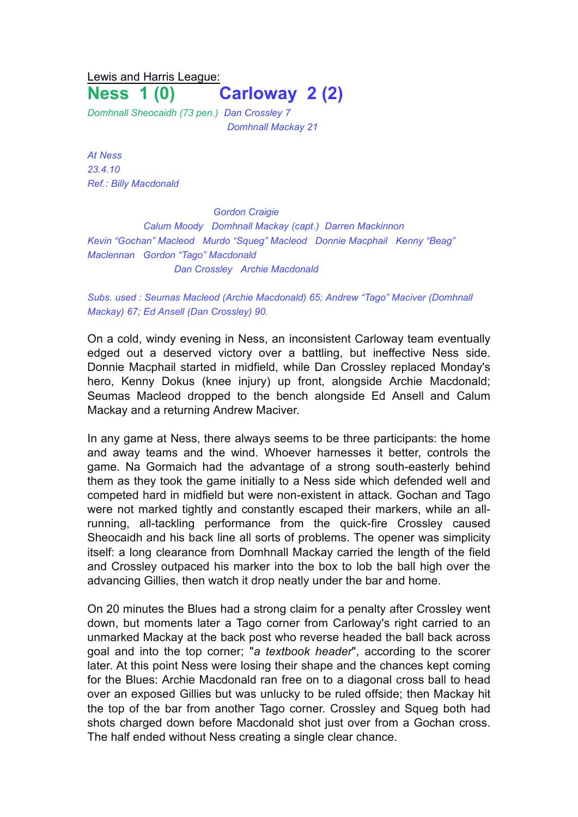## Lewis and Harris League: **Ness 1 (0) Carloway 2 (2)**

*Domhnall Sheocaidh (73 pen.) Dan Crossley 7 Domhnall Mackay 21*

*At Ness 23.4.10 Ref.: Billy Macdonald*

*Gordon Craigie Calum Moody Domhnall Mackay (capt.) Darren Mackinnon Kevin "Gochan" Macleod Murdo "Squeg" Macleod Donnie Macphail Kenny "Beag" Maclennan Gordon "Tago" Macdonald Dan Crossley Archie Macdonald*

## *Subs. used : Seumas Macleod (Archie Macdonald) 65; Andrew "Tago" Maciver (Domhnall Mackay) 67; Ed Ansell (Dan Crossley) 90.*

On a cold, windy evening in Ness, an inconsistent Carloway team eventually edged out a deserved victory over a battling, but ineffective Ness side. Donnie Macphail started in midfield, while Dan Crossley replaced Monday's hero, Kenny Dokus (knee injury) up front, alongside Archie Macdonald; Seumas Macleod dropped to the bench alongside Ed Ansell and Calum Mackay and a returning Andrew Maciver.

In any game at Ness, there always seems to be three participants: the home and away teams and the wind. Whoever harnesses it better, controls the game. Na Gormaich had the advantage of a strong south-easterly behind them as they took the game initially to a Ness side which defended well and competed hard in midfield but were non-existent in attack. Gochan and Tago were not marked tightly and constantly escaped their markers, while an allrunning, all-tackling performance from the quick-fire Crossley caused Sheocaidh and his back line all sorts of problems. The opener was simplicity itself: a long clearance from Domhnall Mackay carried the length of the field and Crossley outpaced his marker into the box to lob the ball high over the advancing Gillies, then watch it drop neatly under the bar and home.

On 20 minutes the Blues had a strong claim for a penalty after Crossley went down, but moments later a Tago corner from Carloway's right carried to an unmarked Mackay at the back post who reverse headed the ball back across goal and into the top corner; "*a textbook header*", according to the scorer later. At this point Ness were losing their shape and the chances kept coming for the Blues: Archie Macdonald ran free on to a diagonal cross ball to head over an exposed Gillies but was unlucky to be ruled offside; then Mackay hit the top of the bar from another Tago corner. Crossley and Squeg both had shots charged down before Macdonald shot just over from a Gochan cross. The half ended without Ness creating a single clear chance.